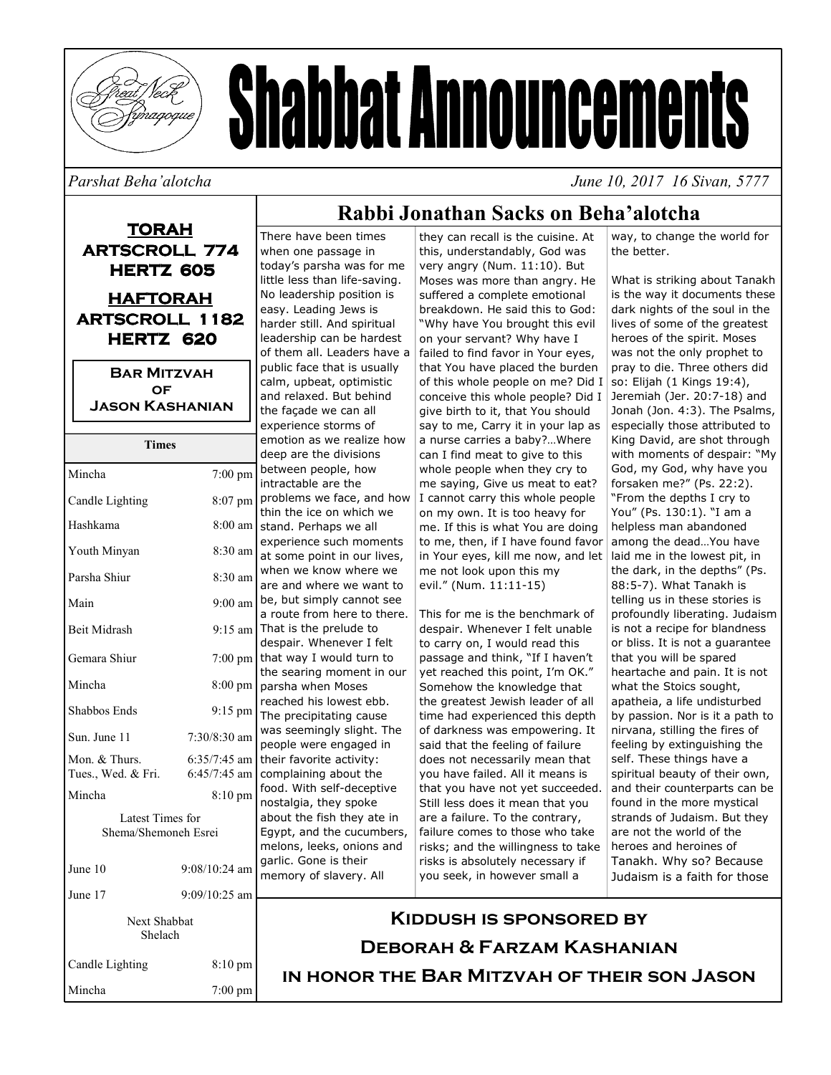

# **Shabbat Announcements**

#### Parshat Beha'alotcha

June 10, 2017 16 Sivan, 5777

## **TORAH ARTSCROLL 774 HERTZ 605 HAFTORAH ARTSCROLL 1182** HERTZ 620 **BAR MITZVAH OF JASON KASHANIAN**

| $\epsilon$<br><b>Times</b><br>C |                 |                 |
|---------------------------------|-----------------|-----------------|
| Mincha                          | 7:00 pm         | t<br>ÌI         |
| Candle Lighting                 | 8:07 pm         | F<br>t          |
| Hashkama                        | 8:00 am         | S               |
| Youth Minyan                    | 8:30 am         | $\epsilon$<br>ā |
| Parsha Shiur                    | 8:30 am         | V<br>ā          |
| Main                            | $9:00$ am       | t<br>ā          |
| Beit Midrash                    | $9:15$ am       | ٦               |
| Gemara Shiur                    | $7:00$ pm       | C<br>t<br>t     |
| Mincha                          | 8:00 pm         | p               |
| Shabbos Ends                    | 9:15 pm         | r<br>٦          |
| Sun. June 11                    | 7:30/8:30 am    | V<br>F          |
| Mon. & Thurs.                   | $6:35/7:45$ am  | t               |
| Tues., Wed. & Fri.              | $6:45/7:45$ am  | C               |
| Mincha                          | 8:10 pm         | f<br>r          |
| Latest Times for                |                 |                 |
| ā<br>Shema/Shemoneh Esrei       |                 |                 |
|                                 |                 | E<br>r          |
| June 10                         | $9:08/10:24$ am | Č<br>ŗ          |
| June 17                         | $9:09/10:25$ am |                 |
| Next Shabbat<br>Shelach         |                 |                 |
| Candle Lighting                 | 8:10 pm         |                 |

Mincha

 $7:00 \text{ pm}$ 

### Rabbi Jonathan Sacks on Beha'alotcha

There have been times when one passage in today's parsha was for me little less than life-saving. No leadership position is easy. Leading Jews is harder still. And spiritual leadership can be hardest of them all. Leaders have a public face that is usually calm, upbeat, optimistic and relaxed. But behind the façade we can all experience storms of emotion as we realize how deep are the divisions etween people, how ntractable are the problems we face, and how hin the ice on which we tand. Perhaps we all experience such moments at some point in our lives. vhen we know where we are and where we want to be, but simply cannot see a route from here to there. That is the prelude to lespair. Whenever I felt hat way I would turn to he searing moment in our barsha when Moses eached his lowest ebb. he precipitating cause vas seemingly slight. The eople were engaged in heir favorite activity: complaining about the ood. With self-deceptive nostalgia, they spoke bout the fish they ate in Eqvpt, and the cucumbers, melons, leeks, onions and garlic. Gone is their nemory of slavery. All

they can recall is the cuisine. At this, understandably, God was very angry (Num. 11:10). But Moses was more than angry. He suffered a complete emotional breakdown. He said this to God: "Why have You brought this evil on your servant? Why have I failed to find favor in Your eyes, that You have placed the burden of this whole people on me? Did I conceive this whole people? Did I give birth to it, that You should say to me, Carry it in your lap as a nurse carries a baby?...Where can I find meat to give to this whole people when they cry to me saying, Give us meat to eat? I cannot carry this whole people on my own. It is too heavy for me. If this is what You are doing to me, then, if I have found favor in Your eyes, kill me now, and let me not look upon this my evil." (Num. 11:11-15)

This for me is the benchmark of despair. Whenever I felt unable to carry on, I would read this passage and think, "If I haven't yet reached this point, I'm OK." Somehow the knowledge that the greatest Jewish leader of all time had experienced this depth of darkness was empowering. It said that the feeling of failure does not necessarily mean that you have failed. All it means is that you have not yet succeeded. Still less does it mean that you are a failure. To the contrary, failure comes to those who take risks; and the willingness to take risks is absolutely necessary if you seek, in however small a

way, to change the world for the better.

What is striking about Tanakh is the way it documents these dark nights of the soul in the lives of some of the greatest heroes of the spirit. Moses was not the only prophet to pray to die. Three others did so: Elijah (1 Kings 19:4), Jeremiah (Jer. 20:7-18) and Jonah (Jon. 4:3). The Psalms, especially those attributed to King David, are shot through with moments of despair: "My God, my God, why have you forsaken me?" (Ps. 22:2). "From the depths I cry to You" (Ps. 130:1). "I am a helpless man abandoned among the dead...You have laid me in the lowest pit, in the dark, in the depths" (Ps. 88:5-7). What Tanakh is telling us in these stories is profoundly liberating. Judaism is not a recipe for blandness or bliss. It is not a guarantee that you will be spared heartache and pain. It is not what the Stoics sought, apatheia, a life undisturbed by passion. Nor is it a path to nirvana, stilling the fires of feeling by extinguishing the self. These things have a spiritual beauty of their own, and their counterparts can be found in the more mystical strands of Judaism. But they are not the world of the heroes and heroines of Tanakh. Why so? Because Judaism is a faith for those

## **KIDDUSH IS SPONSORED BY DEBORAH & FARZAM KASHANIAN** IN HONOR THE BAR MITZVAH OF THEIR SON JASON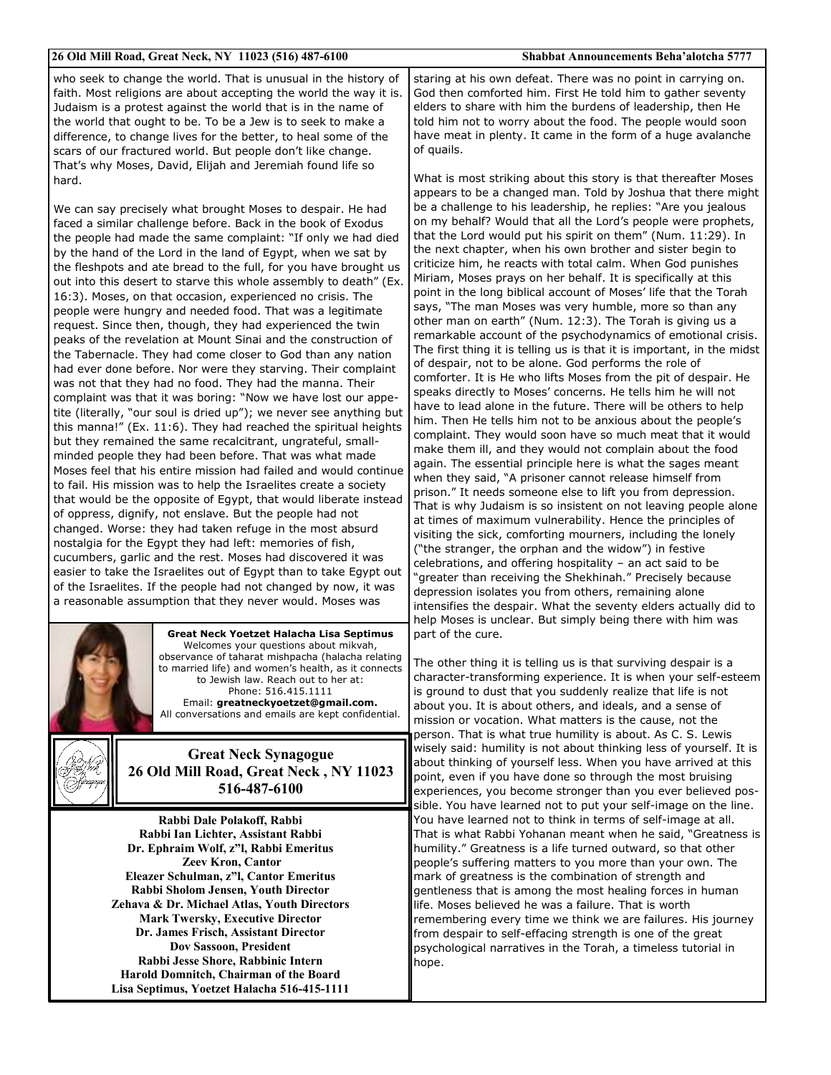| 26 Old Mill Road, Great Neck, NY 11023 (516) 487-6100                                                                                                                                                                                                                                                                                                                                                                                                                                                                                                                                                                                                                                                                                                                                                                                                                                                                                                                                                                                                                                                                                                                                                                                                                                                                                                                                                                                                                                                                                                                                                                                                                                                                                                                                                                                                                                         | <b>Shabbat Announcements Beha'alotcha 5777</b>                                                                                                                                                                                                                                                                                                                                                                                                                                                                                                                                                                                                                                                                                                                                                                                                                                                                                                                                                                                                                                                                                                                                                                                                                                                                                                                                                                                                                                                                                                                                                                                                                                                                                                                                                                                                                                                                                         |
|-----------------------------------------------------------------------------------------------------------------------------------------------------------------------------------------------------------------------------------------------------------------------------------------------------------------------------------------------------------------------------------------------------------------------------------------------------------------------------------------------------------------------------------------------------------------------------------------------------------------------------------------------------------------------------------------------------------------------------------------------------------------------------------------------------------------------------------------------------------------------------------------------------------------------------------------------------------------------------------------------------------------------------------------------------------------------------------------------------------------------------------------------------------------------------------------------------------------------------------------------------------------------------------------------------------------------------------------------------------------------------------------------------------------------------------------------------------------------------------------------------------------------------------------------------------------------------------------------------------------------------------------------------------------------------------------------------------------------------------------------------------------------------------------------------------------------------------------------------------------------------------------------|----------------------------------------------------------------------------------------------------------------------------------------------------------------------------------------------------------------------------------------------------------------------------------------------------------------------------------------------------------------------------------------------------------------------------------------------------------------------------------------------------------------------------------------------------------------------------------------------------------------------------------------------------------------------------------------------------------------------------------------------------------------------------------------------------------------------------------------------------------------------------------------------------------------------------------------------------------------------------------------------------------------------------------------------------------------------------------------------------------------------------------------------------------------------------------------------------------------------------------------------------------------------------------------------------------------------------------------------------------------------------------------------------------------------------------------------------------------------------------------------------------------------------------------------------------------------------------------------------------------------------------------------------------------------------------------------------------------------------------------------------------------------------------------------------------------------------------------------------------------------------------------------------------------------------------------|
| who seek to change the world. That is unusual in the history of<br>faith. Most religions are about accepting the world the way it is.<br>Judaism is a protest against the world that is in the name of<br>the world that ought to be. To be a Jew is to seek to make a<br>difference, to change lives for the better, to heal some of the<br>scars of our fractured world. But people don't like change.<br>That's why Moses, David, Elijah and Jeremiah found life so<br>hard.<br>We can say precisely what brought Moses to despair. He had<br>faced a similar challenge before. Back in the book of Exodus<br>the people had made the same complaint: "If only we had died<br>by the hand of the Lord in the land of Egypt, when we sat by<br>the fleshpots and ate bread to the full, for you have brought us<br>out into this desert to starve this whole assembly to death" (Ex.<br>16:3). Moses, on that occasion, experienced no crisis. The<br>people were hungry and needed food. That was a legitimate<br>request. Since then, though, they had experienced the twin<br>peaks of the revelation at Mount Sinai and the construction of<br>the Tabernacle. They had come closer to God than any nation<br>had ever done before. Nor were they starving. Their complaint<br>was not that they had no food. They had the manna. Their<br>complaint was that it was boring: "Now we have lost our appe-<br>tite (literally, "our soul is dried up"); we never see anything but<br>this manna!" (Ex. 11:6). They had reached the spiritual heights<br>but they remained the same recalcitrant, ungrateful, small-<br>minded people they had been before. That was what made<br>Moses feel that his entire mission had failed and would continue<br>to fail. His mission was to help the Israelites create a society<br>that would be the opposite of Egypt, that would liberate instead | staring at his own defeat. There was no point in carrying on.<br>God then comforted him. First He told him to gather seventy<br>elders to share with him the burdens of leadership, then He<br>told him not to worry about the food. The people would soon<br>have meat in plenty. It came in the form of a huge avalanche<br>of quails.<br>What is most striking about this story is that thereafter Moses<br>appears to be a changed man. Told by Joshua that there might<br>be a challenge to his leadership, he replies: "Are you jealous<br>on my behalf? Would that all the Lord's people were prophets,<br>that the Lord would put his spirit on them" (Num. 11:29). In<br>the next chapter, when his own brother and sister begin to<br>criticize him, he reacts with total calm. When God punishes<br>Miriam, Moses prays on her behalf. It is specifically at this<br>point in the long biblical account of Moses' life that the Torah<br>says, "The man Moses was very humble, more so than any<br>other man on earth" (Num. 12:3). The Torah is giving us a<br>remarkable account of the psychodynamics of emotional crisis.<br>The first thing it is telling us is that it is important, in the midst<br>of despair, not to be alone. God performs the role of<br>comforter. It is He who lifts Moses from the pit of despair. He<br>speaks directly to Moses' concerns. He tells him he will not<br>have to lead alone in the future. There will be others to help<br>him. Then He tells him not to be anxious about the people's<br>complaint. They would soon have so much meat that it would<br>make them ill, and they would not complain about the food<br>again. The essential principle here is what the sages meant<br>when they said, "A prisoner cannot release himself from<br>prison." It needs someone else to lift you from depression.<br>That is why Judaism is so insistent on not leaving people alone |
| of oppress, dignify, not enslave. But the people had not<br>changed. Worse: they had taken refuge in the most absurd<br>nostalgia for the Egypt they had left: memories of fish,                                                                                                                                                                                                                                                                                                                                                                                                                                                                                                                                                                                                                                                                                                                                                                                                                                                                                                                                                                                                                                                                                                                                                                                                                                                                                                                                                                                                                                                                                                                                                                                                                                                                                                              | at times of maximum vulnerability. Hence the principles of<br>visiting the sick, comforting mourners, including the lonely<br>("the stranger, the orphan and the widow") in festive                                                                                                                                                                                                                                                                                                                                                                                                                                                                                                                                                                                                                                                                                                                                                                                                                                                                                                                                                                                                                                                                                                                                                                                                                                                                                                                                                                                                                                                                                                                                                                                                                                                                                                                                                    |
| cucumbers, garlic and the rest. Moses had discovered it was<br>easier to take the Israelites out of Egypt than to take Egypt out                                                                                                                                                                                                                                                                                                                                                                                                                                                                                                                                                                                                                                                                                                                                                                                                                                                                                                                                                                                                                                                                                                                                                                                                                                                                                                                                                                                                                                                                                                                                                                                                                                                                                                                                                              | celebrations, and offering hospitality - an act said to be                                                                                                                                                                                                                                                                                                                                                                                                                                                                                                                                                                                                                                                                                                                                                                                                                                                                                                                                                                                                                                                                                                                                                                                                                                                                                                                                                                                                                                                                                                                                                                                                                                                                                                                                                                                                                                                                             |
| of the Israelites. If the people had not changed by now, it was                                                                                                                                                                                                                                                                                                                                                                                                                                                                                                                                                                                                                                                                                                                                                                                                                                                                                                                                                                                                                                                                                                                                                                                                                                                                                                                                                                                                                                                                                                                                                                                                                                                                                                                                                                                                                               | "greater than receiving the Shekhinah." Precisely because<br>depression isolates you from others, remaining alone                                                                                                                                                                                                                                                                                                                                                                                                                                                                                                                                                                                                                                                                                                                                                                                                                                                                                                                                                                                                                                                                                                                                                                                                                                                                                                                                                                                                                                                                                                                                                                                                                                                                                                                                                                                                                      |
| a reasonable assumption that they never would. Moses was                                                                                                                                                                                                                                                                                                                                                                                                                                                                                                                                                                                                                                                                                                                                                                                                                                                                                                                                                                                                                                                                                                                                                                                                                                                                                                                                                                                                                                                                                                                                                                                                                                                                                                                                                                                                                                      | intensifies the despair. What the seventy elders actually did to<br>help Moses is unclear. But simply being there with him was                                                                                                                                                                                                                                                                                                                                                                                                                                                                                                                                                                                                                                                                                                                                                                                                                                                                                                                                                                                                                                                                                                                                                                                                                                                                                                                                                                                                                                                                                                                                                                                                                                                                                                                                                                                                         |
| <b>Great Neck Yoetzet Halacha Lisa Septimus</b><br>Welcomes your questions about mikvah,<br>observance of taharat mishpacha (halacha relating                                                                                                                                                                                                                                                                                                                                                                                                                                                                                                                                                                                                                                                                                                                                                                                                                                                                                                                                                                                                                                                                                                                                                                                                                                                                                                                                                                                                                                                                                                                                                                                                                                                                                                                                                 | part of the cure.<br>The other thing it is telling us is that surviving despair is a                                                                                                                                                                                                                                                                                                                                                                                                                                                                                                                                                                                                                                                                                                                                                                                                                                                                                                                                                                                                                                                                                                                                                                                                                                                                                                                                                                                                                                                                                                                                                                                                                                                                                                                                                                                                                                                   |
| to married life) and women's health, as it connects<br>to Jewish law. Reach out to her at:                                                                                                                                                                                                                                                                                                                                                                                                                                                                                                                                                                                                                                                                                                                                                                                                                                                                                                                                                                                                                                                                                                                                                                                                                                                                                                                                                                                                                                                                                                                                                                                                                                                                                                                                                                                                    | character-transforming experience. It is when your self-esteem                                                                                                                                                                                                                                                                                                                                                                                                                                                                                                                                                                                                                                                                                                                                                                                                                                                                                                                                                                                                                                                                                                                                                                                                                                                                                                                                                                                                                                                                                                                                                                                                                                                                                                                                                                                                                                                                         |

is ground to dust that you suddenly realize that life is not about you. It is about others, and ideals, and a sense of mission or vocation. What matters is the cause, not the person. That is what true humility is about. As C. S. Lewis wisely said: humility is not about thinking less of yourself. It is about thinking of yourself less. When you have arrived at this point, even if you have done so through the most bruising experiences, you become stronger than you ever believed possible. You have learned not to put your self-image on the line. You have learned not to think in terms of self-image at all. That is what Rabbi Yohanan meant when he said, "Greatness is humility." Greatness is a life turned outward, so that other people's suffering matters to you more than your own. The mark of greatness is the combination of strength and gentleness that is among the most healing forces in human life. Moses believed he was a failure. That is worth remembering every time we think we are failures. His journey from despair to self-effacing strength is one of the great psychological narratives in the Torah, a timeless tutorial in hope.

**Great Neck Synagogue** 26 Old Mill Road, Great Neck, NY 11023 516-487-6100

Phone: 516.415.1111

Email: greatneckyoetzet@gmail.com.

All conversations and emails are kept confidential.

Rabbi Dale Polakoff, Rabbi Rabbi Ian Lichter, Assistant Rabbi Dr. Ephraim Wolf, z"l, Rabbi Emeritus **Zeev Kron, Cantor** Eleazer Schulman, z"l, Cantor Emeritus Rabbi Sholom Jensen, Youth Director Zehava & Dr. Michael Atlas, Youth Directors **Mark Twersky, Executive Director** Dr. James Frisch. Assistant Director **Dov Sassoon, President** Rabbi Jesse Shore, Rabbinic Intern Harold Domnitch, Chairman of the Board Lisa Septimus, Yoetzet Halacha 516-415-1111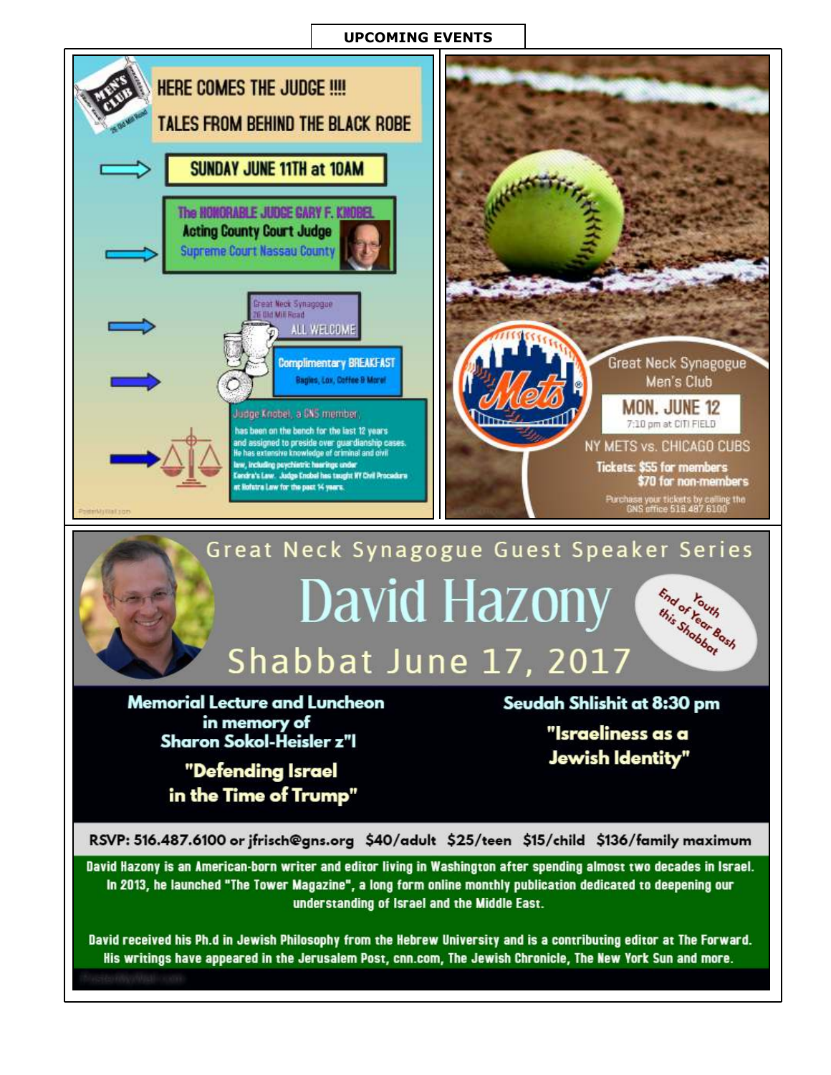#### **UPCOMING EVENTS**



David Hazony is an American-born writer and editor living in Washington after spending almost two decades in Israel. In 2013, he launched "The Tower Magazine", a long form online monthly publication dedicated to deepening our understanding of Israel and the Middle East.

David received his Ph.d in Jewish Philosophy from the Hebrew University and is a contributing editor at The Forward. His writings have appeared in the Jerusalem Post, cnn.com, The Jewish Chronicle, The New York Sun and more.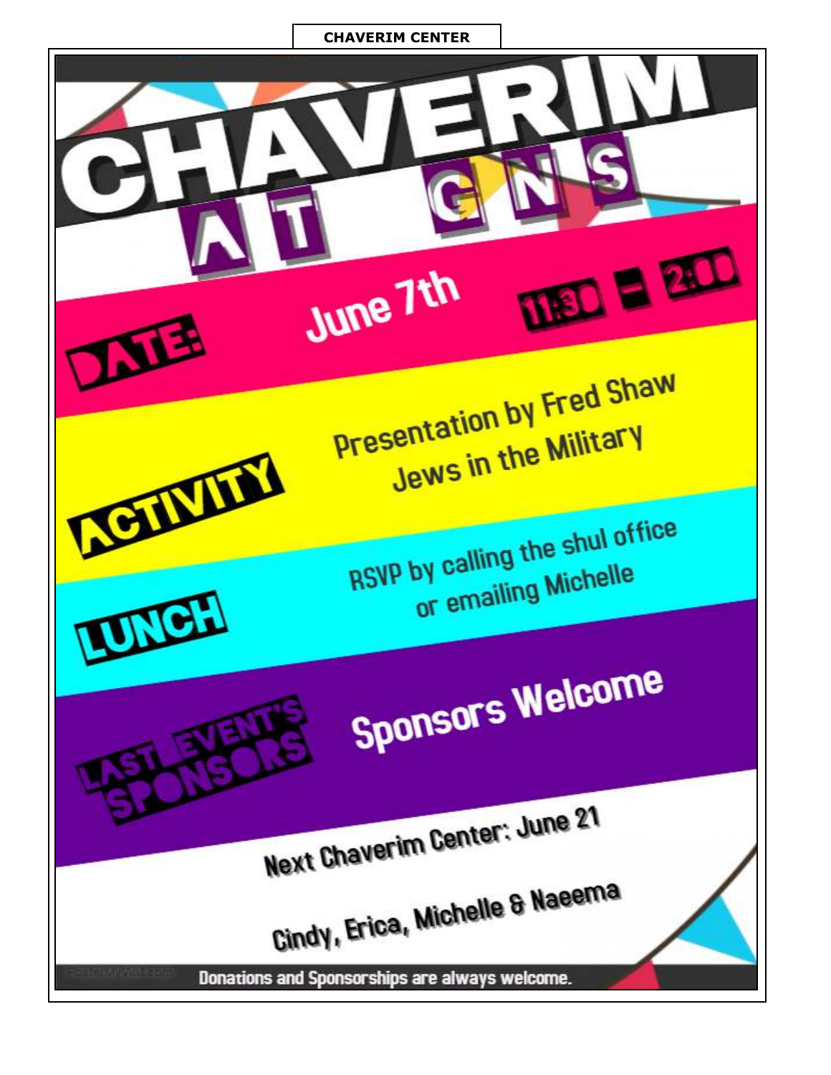#### **CHAVERIM CENTER**

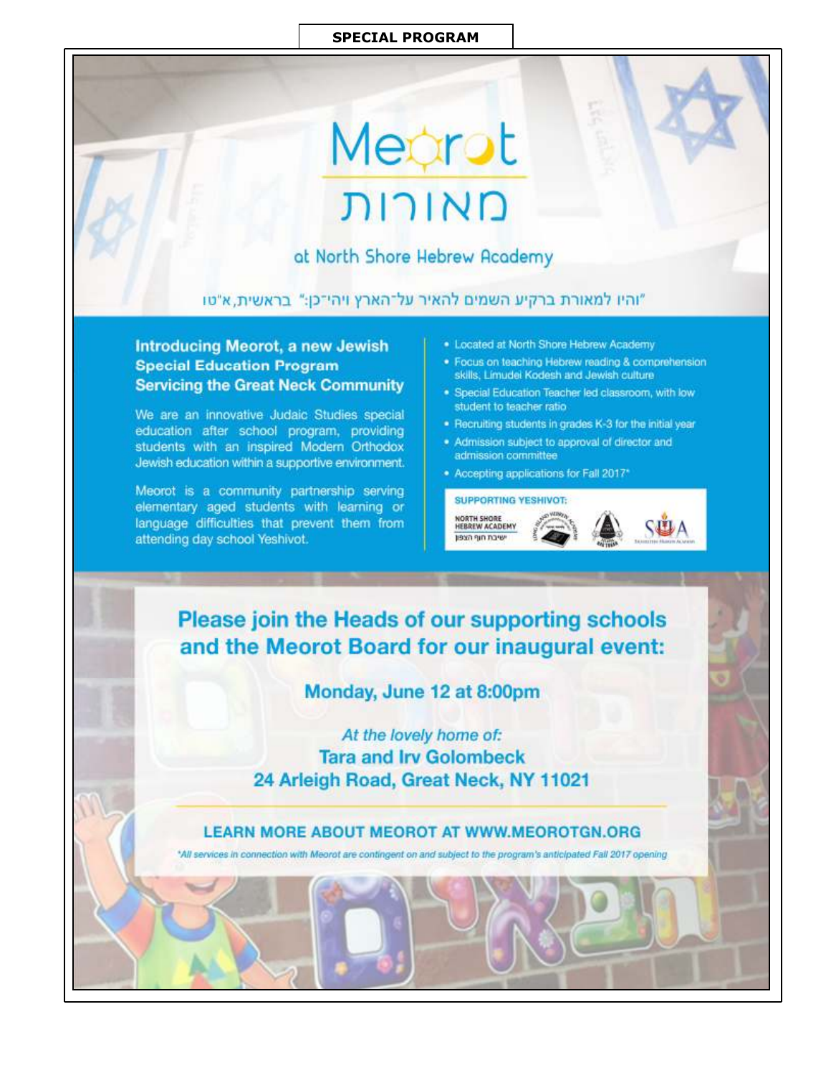#### **SPECIAL PROGRAM**

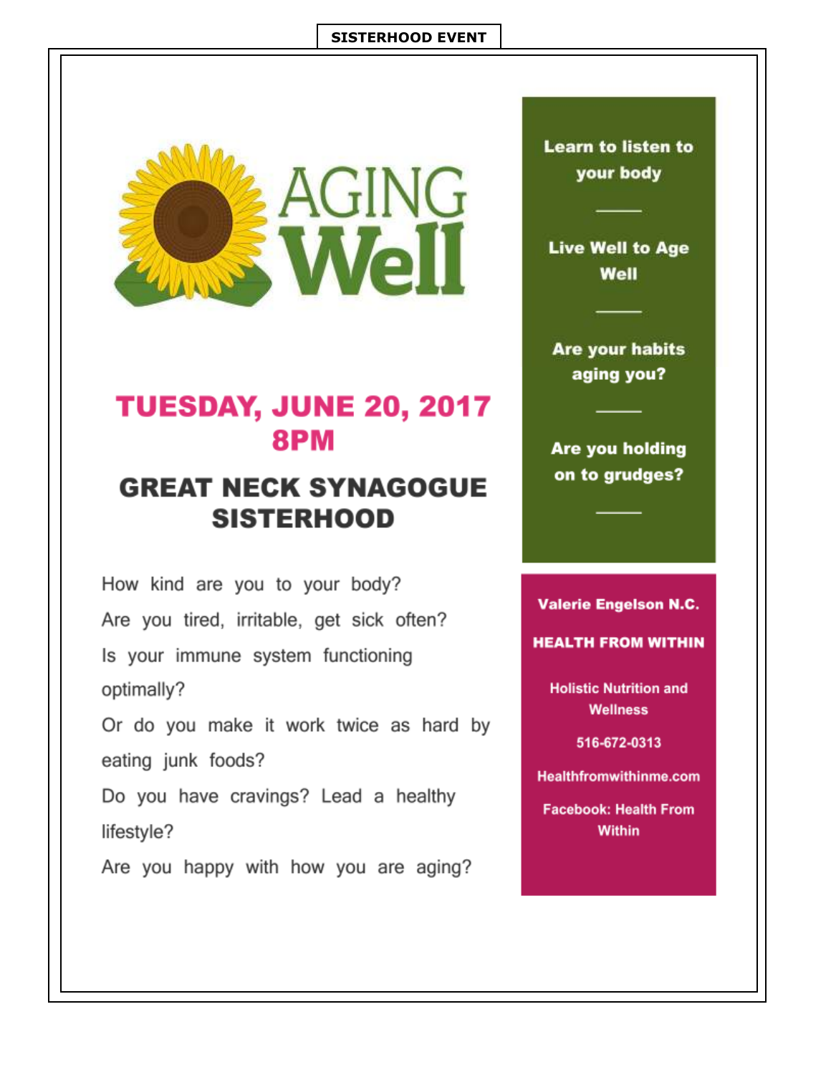#### **SISTERHOOD EVENT**



## TUESDAY, JUNE 20, 2017 **8PM**

## **GREAT NECK SYNAGOGUE SISTERHOOD**

How kind are you to your body? Are you tired, irritable, get sick often? Is your immune system functioning optimally?

Or do you make it work twice as hard by eating junk foods?

Do you have cravings? Lead a healthy lifestyle?

Are you happy with how you are aging?

**Learn to listen to** your body

**Live Well to Age** Well

**Are your habits** aging you?

Are you holding on to grudges?

#### **Valerie Engelson N.C.**

**HEALTH FROM WITHIN** 

**Holistic Nutrition and Wellness** 

516-672-0313

**Healthfromwithinme.com** 

**Facebook: Health From Within**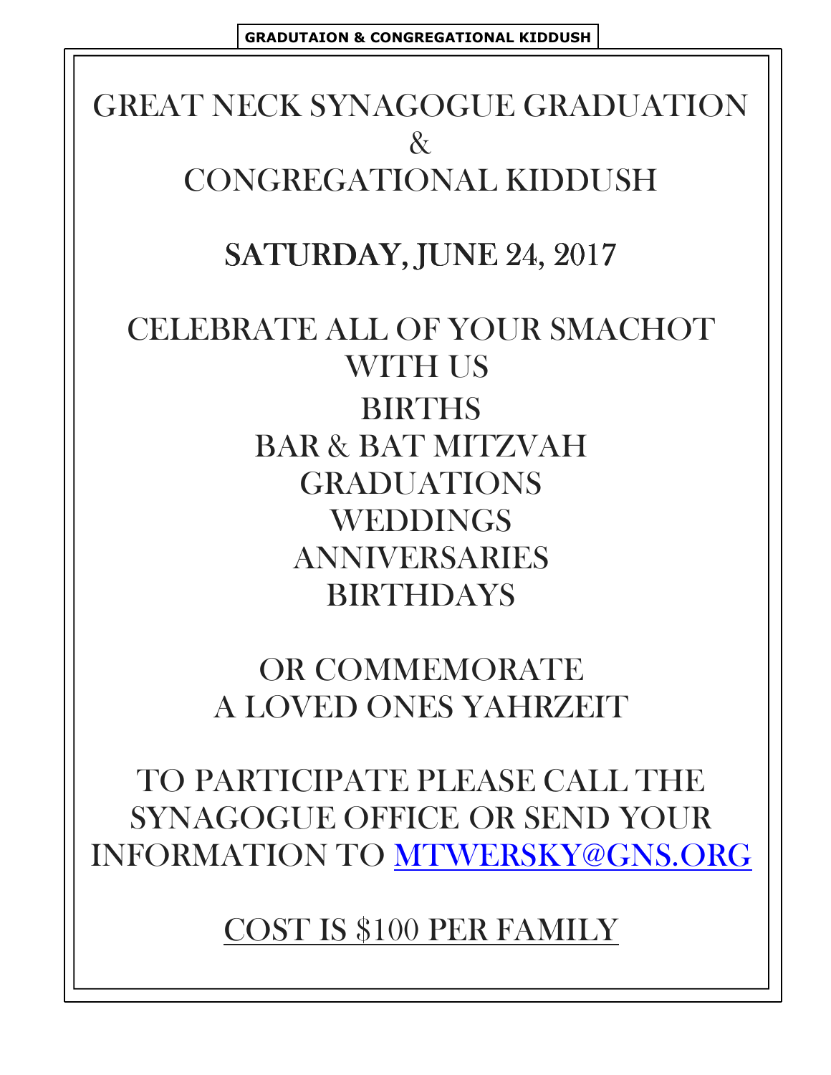# **GREAT NECK SYNAGOGUE GRADUATION**  $\mathcal{R}^-$ CONGREGATIONAL KIDDUSH

# SATURDAY, JUNE 24, 2017

# CELEBRATE ALL OF YOUR SMACHOT **WITH US BIRTHS BAR & BAT MITZVAH GRADUATIONS WEDDINGS ANNIVERSARIES BIRTHDAYS**

**OR COMMEMORATE** A LOVED ONES YAHRZEIT

TO PARTICIPATE PLEASE CALL THE **SYNAGOGUE OFFICE OR SEND YOUR INFORMATION TO MTWERSKY@GNS.ORG** 

**COST IS \$100 PER FAMILY**